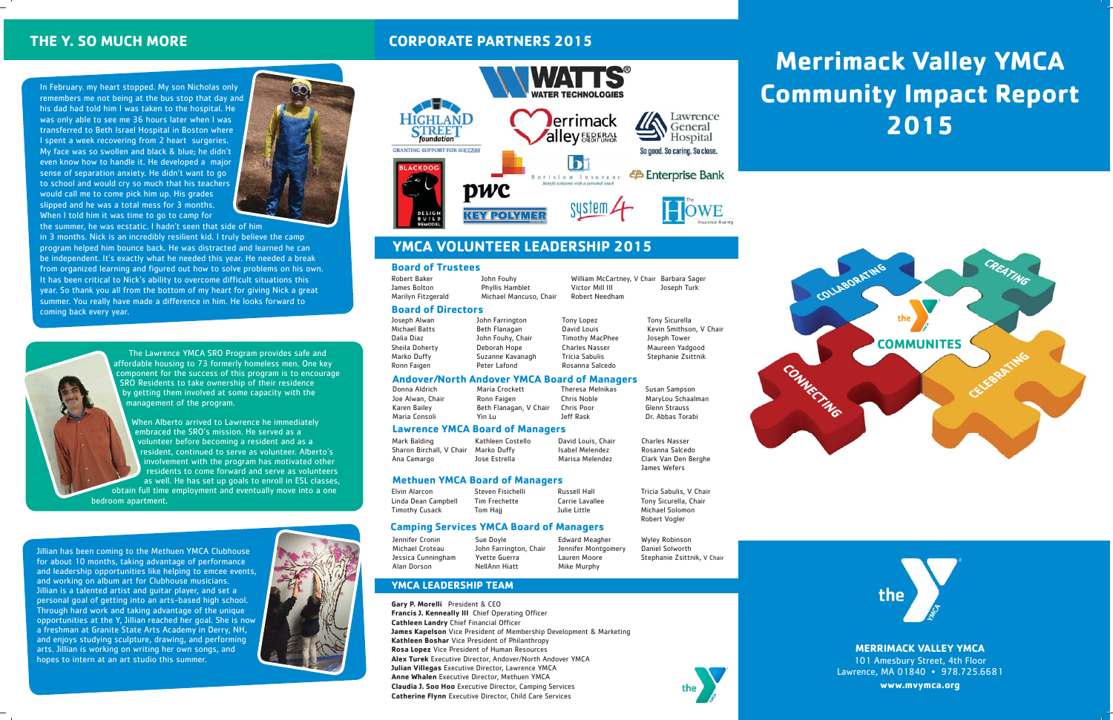#### **YMCA LEADERSHIP TEAM**

**Gary P. Morelli** President & CEO **Francis J. Kenneally III** Chief Operating Officer **Cathleen Landry Chief Financial Officer James Kapelson** Vice President of Membership Development & Marketing **Kathleen Boshar** Vice President of Philanthropy **Rosa Lopez** Vice President of Human Resources **Alex Turek** Executive Director, Andover/North Andover YMCA **Julian Villegas** Executive Director, Lawrence YMCA **Anne Whalen** Executive Director, Methuen YMCA **Claudia J. Soo Hoo** Executive Director, Camping Services **Catherine Flynn** Executive Director, Child Care Services

### **YMCA VOLUNTEER LEADERSHIP 2015**

- Joseph Alwan Michael BattsDalia Diaz Sheila Doherty Marko Duffy Ronn Faigen
	- John Farrington Beth Flanagan John Fouhy, Chair Deborah Hope Suzanne Kavanagh Peter Lafond

Tony Lopez David LouisTimothy MacPhee Charles NasserTricia Sabulis Rosanna Salcedo

Tony Sicurella Kevin Smithson, V Chair

Joseph Tower Maureen Yadgood Stephanie Zsittnik

### **THE Y. SO MUCH MORE**

### **CORPORATE PARTNERS 2015**

**MERRIMACK VALLEY YMCA**101 Amesbury Street, 4th Floor Lawrence, MA 01840 • 978.725.6681 **www.mvymca.org**

Robert BakerJames BoltonMarilyn Fitzgerald John Fouhy Phyllis Hamblet Michael Mancuso, Chair

William McCartney, V Chair Barbara Sager Victor Mill IIIRobert NeedhamJoseph Turk

Elvin Alarcon Linda Dean Campbell Timothy Cusack

Steven FisichelliTim Frechette Tom Hajj

Russell HallCarrie Lavallee Julie Little

Tricia Sabulis, V Chair Tony Sicurella, Chair Michael SolomonRobert Vogler

Mark Balding Sharon Birchall, V Chair Ana Camargo Kathleen Costello Marko Duffy Jose Estrella

David Louis, Chair Isabel MelendezMarisa Melendez

Charles Nasser Rosanna Salcedo Clark Van Den Berghe James Wefers

Donna AldrichJoe Alwan, Chair Karen Bailey Maria Consoli Maria CrockettRonn Faigen Beth Flanagan, V Chair Yin Lu

Theresa Melnikas Chris NobleChris PoorJeff Rask

Susan Sampson MaryLou Schaalman Glenn StraussDr. Abbas Torabi

#### **Board of Trustees**

#### **Board of Directors**

#### **Andover/North Andover YMCA Board of Managers**

### **Lawrence YMCA Board of Managers**

### **Methuen YMCA Board of Managers**

#### **Camping Services YMCA Board of Managers**

Jennifer CroninMichael Croteau Jessica Cunningham Alan Dorson

Sue Doyle John Farrington, Chair Yvette Guerra NellAnn Hiatt

Edward Meagher Jennifer Montgomery Lauren Moore

Mike Murphy

Wyley Robinson Daniel Solworth Stephanie Zsittnik, V Chair

# **Merrimack Valley YMCA Community Impact Report 2015**

In February. my heart stopped. My son Nicholas only remembers me not being at the bus stop that day and his dad had told him I was taken to the hospital. He was only able to see me 36 hours later when I was transferred to Beth Israel Hospital in Boston where I spent a week recovering from 2 heart surgeries. My face was so swollen and black & blue; he didn't even know how to handle it. He developed a major sense of separation anxiety. He didn't want to go to school and would cry so much that his teachers would call me to come pick him up. His grades slipped and he was a total mess for 3 months. When I told him it was time to go to camp for



the summer, he was ecstatic. I hadn't seen that side of him

in 3 months. Nick is an incredibly resilient kid. I truly believe the camp program helped him bounce back. He was distracted and learned he can be independent. It's exactly what he needed this year. He needed a break from organized learning and figured out how to solve problems on his own. It has been critical to Nick's ability to overcome difficult situations this year. So thank you all from the bottom of my heart for giving Nick a great summer. You really have made a difference in him. He looks forward to coming back every year.



 The Lawrence YMCA SRO Program provides safe and affordable housing to 73 formerly homeless men. One key component for the success of this program is to encourage SRO Residents to take ownership of their residence by getting them involved at some capacity with the management of the program.

When Alberto arrived to Lawrence he immediately embraced the SRO's mission. He served as a volunteer before becoming a resident and as a resident, continued to serve as volunteer. Alberto's involvement with the program has motivated other residents to come forward and serve as volunteers as well. He has set up goals to enroll in ESL classes, obtain full time employment and eventually move into a one bedroom apartment.

Jillian has been coming to the Methuen YMCA Clubhouse for about 10 months, taking advantage of performance and leadership opportunities like helping to emcee events, and working on album art for Clubhouse musicians. Jillian is a talented artist and guitar player, and set a personal goal of getting into an arts-based high school. Through hard work and taking advantage of the unique opportunities at the Y, Jillian reached her goal. She is now a freshman at Granite State Arts Academy in Derry, NH, and enjoys studying sculpture, drawing, and performing arts. Jillian is working on writing her own songs, and hopes to intern at an art studio this summer.